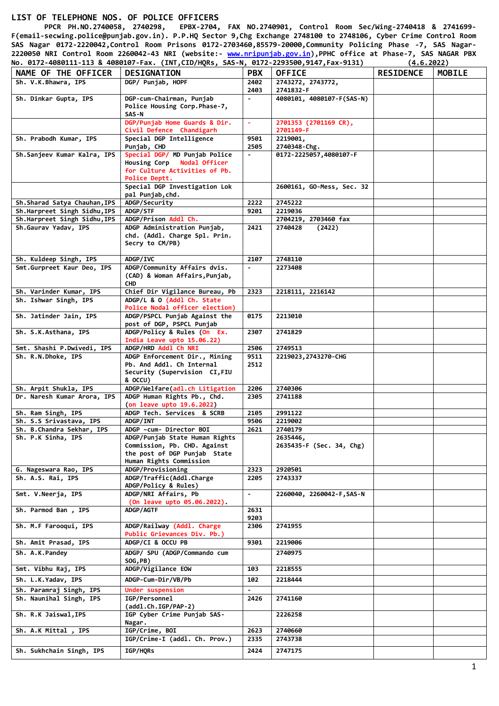## **LIST OF TELEPHONE NOS. OF POLICE OFFICERS**

 **PPCR PH.NO.2740058, 2740298, EPBX-2704, FAX NO.2740901, Control Room Sec/Wing-2740418 & 2741699- F(email-secwing.police@punjab.gov.in). P.P.HQ Sector 9,Chg Exchange 2748100 to 2748106, Cyber Crime Control Room SAS Nagar 0172-2220042,Control Room Prisons 0172-2703460,85579-20000,Community Policing Phase -7, SAS Nagar-2220050 NRI Control Room 2260042-43 NRI (website:- [www.nripunjab.gov.in\)](http://www.nripunjab.gov.in/),PPHC office at Phase-7, SAS NAGAR PBX No. 0172-4080111-113 & 4080107-Fax. (INT,CID/HQRs, SAS-N, 0172-2293500,9147,Fax-9131) (4.6.2022)**

| NAME OF THE OFFICER          | <b>DESIGNATION</b>                                                                                                        | <b>PBX</b>     | <b>OFFICE</b>                        | <b>RESIDENCE</b> | <b>MOBILE</b> |
|------------------------------|---------------------------------------------------------------------------------------------------------------------------|----------------|--------------------------------------|------------------|---------------|
| Sh. V.K.Bhawra, IPS          | DGP/ Puniab, HOPF                                                                                                         | 2402<br>2403   | 2743272, 2743772,<br>2741832-F       |                  |               |
| Sh. Dinkar Gupta, IPS        | DGP-cum-Chairman, Punjab<br>Police Housing Corp. Phase-7,<br>SAS-N                                                        | $\blacksquare$ | 4080101, 4080107-F(SAS-N)            |                  |               |
|                              | DGP/Punjab Home Guards & Dir.<br>Civil Defence Chandigarh                                                                 | $\omega$       | 2701353 (2701169 CR),<br>2701149-F   |                  |               |
| Sh. Prabodh Kumar, IPS       | Special DGP Intelligence<br>Punjab, CHD                                                                                   | 9501<br>2505   | 2219001,<br>2740348-Chg.             |                  |               |
| Sh.Sanjeev Kumar Kalra, IPS  | Special DGP/ MD Punjab Police<br>Housing Corp Nodal Officer<br>for Culture Activities of Pb.<br>Police Deptt.             | $\blacksquare$ | 0172-2225057,4080107-F               |                  |               |
|                              | Special DGP Investigation Lok<br>pal Punjab,chd.                                                                          |                | 2600161, GO-Mess, Sec. 32            |                  |               |
| Sh.Sharad Satya Chauhan, IPS | ADGP/Security                                                                                                             | 2222           | 2745222                              |                  |               |
| Sh.Harpreet Singh Sidhu,IPS  | ADGP/STF                                                                                                                  | 9201           | 2219036                              |                  |               |
| Sh.Harpreet Singh Sidhu, IPS | ADGP/Prison Addl Ch.                                                                                                      |                | 2704219, 2703460 fax                 |                  |               |
| Sh.Gaurav Yadav, IPS         | ADGP Administration Punjab,<br>chd. (Addl. Charge Spl. Prin.<br>Secry to CM/PB)                                           | 2421           | 2740428<br>(2422)                    |                  |               |
| Sh. Kuldeep Singh, IPS       | ADGP/IVC                                                                                                                  | 2107           | 2748110                              |                  |               |
| Smt.Gurpreet Kaur Deo, IPS   | ADGP/Community Affairs dvis.<br>(CAD) & Woman Affairs, Punjab,<br><b>CHD</b>                                              |                | 2273408                              |                  |               |
| Sh. Varinder Kumar, IPS      | Chief Dir Vigilance Bureau, Pb                                                                                            | 2323           | 2218111, 2216142                     |                  |               |
| Sh. Ishwar Singh, IPS        | ADGP/L & O (Addl Ch. State<br>Police Nodal officer election)                                                              |                |                                      |                  |               |
| Sh. Jatinder Jain, IPS       | ADGP/PSPCL Punjab Against the<br>post of DGP, PSPCL Punjab                                                                | 0175           | 2213010                              |                  |               |
| Sh. S.K.Asthana, IPS         | ADGP/Policy & Rules (On Ex.<br>India Leave upto 15.06.22)                                                                 | 2307           | 2741829                              |                  |               |
| Smt. Shashi P.Dwivedi, IPS   | ADGP/HRD Addl Ch NRI                                                                                                      | 2506           | 2749513                              |                  |               |
| Sh. R.N.Dhoke, IPS           | ADGP Enforcement Dir., Mining<br>Pb. And Addl. Ch Internal<br>Security (Supervision CI, FIU<br>& OCCU)                    | 9511<br>2512   | 2219023, 2743270-CHG                 |                  |               |
| Sh. Arpit Shukla, IPS        | ADGP/Welfare(adl.ch Litigation                                                                                            | 2206           | 2740306                              |                  |               |
| Dr. Naresh Kumar Arora, IPS  | ADGP Human Rights Pb., Chd.<br>(on leave upto 19.6.2022)                                                                  | 2305           | 2741188                              |                  |               |
| Sh. Ram Singh, IPS           | ADGP Tech. Services & SCRB                                                                                                | 2105           | 2991122                              |                  |               |
| Sh. S.S Srivastava, IPS      | ADGP/INT                                                                                                                  | 9506           | 2219002                              |                  |               |
| Sh. B.Chandra Sekhar, IPS    | ADGP -cum- Director BOI                                                                                                   | 2621           | 2740179                              |                  |               |
| Sh. P.K Sinha, IPS           | ADGP/Punjab State Human Rights<br>Commission, Pb. CHD. Against<br>the post of DGP Punjab State<br>Human Rights Commission |                | 2635446,<br>2635435-F (Sec. 34, Chg) |                  |               |
| G. Nageswara Rao, IPS        | ADGP/Provisioning                                                                                                         | 2323           | 2920501                              |                  |               |
| Sh. A.S. Rai, IPS            | ADGP/Traffic(Addl.Charge<br>ADGP/Policy & Rules)                                                                          | 2205           | 2743337                              |                  |               |
| Smt. V.Neerja, IPS           | ADGP/NRI Affairs, Pb<br>(On leave upto 05.06.2022).                                                                       | $\blacksquare$ | 2260040, 2260042-F, SAS-N            |                  |               |
| Sh. Parmod Ban, IPS          | ADGP/AGTF                                                                                                                 | 2631<br>9203   |                                      |                  |               |
| Sh. M.F Farooqui, IPS        | ADGP/Railway (Addl. Charge<br>Public Grievances Div. Pb.)                                                                 | 2306           | 2741955                              |                  |               |
| Sh. Amit Prasad, IPS         | ADGP/CI & OCCU PB                                                                                                         | 9301           | 2219006                              |                  |               |
| Sh. A.K.Pandey               | ADGP/ SPU (ADGP/Commando cum<br>SOG, PB)                                                                                  |                | 2740975                              |                  |               |
| Smt. Vibhu Raj, IPS          | ADGP/Vigilance EOW                                                                                                        | 103            | 2218555                              |                  |               |
| Sh. L.K.Yadav, IPS           | ADGP-Cum-Dir/VB/Pb                                                                                                        | 102            | 2218444                              |                  |               |
| Sh. Paramraj Singh, IPS      | Under suspension                                                                                                          |                |                                      |                  |               |
| Sh. Naunihal Singh, IPS      | IGP/Personnel<br>(addl.Ch.IGP/PAP-2)                                                                                      | 2426           | 2741160                              |                  |               |
| Sh. R.K Jaiswal, IPS         | IGP Cyber Crime Punjab SAS-<br>Nagar.                                                                                     |                | 2226258                              |                  |               |
| Sh. A.K Mittal, IPS          | IGP/Crime, BOI                                                                                                            | 2623           | 2740660                              |                  |               |
|                              | IGP/Crime-I (addl. Ch. Prov.)                                                                                             | 2335           | 2743738                              |                  |               |
| Sh. Sukhchain Singh, IPS     | IGP/HQRs                                                                                                                  | 2424           | 2747175                              |                  |               |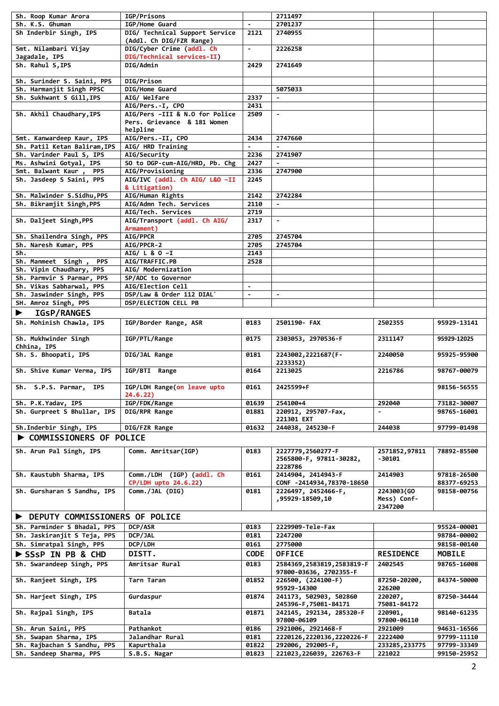| Sh. Roop Kumar Arora                                   | IGP/Prisons                    |                          | 2711497                                       |                          |                            |
|--------------------------------------------------------|--------------------------------|--------------------------|-----------------------------------------------|--------------------------|----------------------------|
| Sh. K.S. Ghuman                                        | IGP/Home Guard                 | $\blacksquare$           | 2701237                                       |                          |                            |
| Sh Inderbir Singh, IPS                                 | DIG/ Technical Support Service | 2121                     | 2740955                                       |                          |                            |
|                                                        | (Addl. Ch DIG/FZR Range)       |                          |                                               |                          |                            |
| Smt. Nilambari Vijay                                   | DIG/Cyber Crime (addl. Ch      | $\blacksquare$           | 2226258                                       |                          |                            |
| Jagadale, IPS                                          | DIG/Technical services-II)     |                          |                                               |                          |                            |
| Sh. Rahul S, IPS                                       | DIG/Admin                      | 2429                     | 2741649                                       |                          |                            |
|                                                        |                                |                          |                                               |                          |                            |
|                                                        |                                |                          |                                               |                          |                            |
| Sh. Surinder S. Saini, PPS                             | DIG/Prison                     |                          |                                               |                          |                            |
| Sh. Harmanjit Singh PPSC                               | DIG/Home Guard                 |                          | 5075033                                       |                          |                            |
| Sh. Sukhwant S Gill, IPS                               | AIG/ Welfare                   | 2337                     | $\blacksquare$                                |                          |                            |
|                                                        | AIG/Pers.-I, CPO               | 2431                     |                                               |                          |                            |
| Sh. Akhil Chaudhary, IPS                               | AIG/Pers -III & N.O for Police | 2509                     | $\blacksquare$                                |                          |                            |
|                                                        | Pers. Grievance & 181 Women    |                          |                                               |                          |                            |
|                                                        | helpline                       |                          |                                               |                          |                            |
| Smt. Kanwardeep Kaur, IPS                              | AIG/Pers.-II, CPO              | 2434                     | 2747660                                       |                          |                            |
| Sh. Patil Ketan Baliram, IPS                           | AIG/ HRD Training              |                          |                                               |                          |                            |
| Sh. Varinder Paul S, IPS                               | AIG/Security                   | 2236                     | 2741907                                       |                          |                            |
| Ms. Ashwini Gotyal, IPS                                | SO to DGP-cum-AIG/HRD, Pb. Chg | 2427                     | $\blacksquare$                                |                          |                            |
|                                                        |                                |                          |                                               |                          |                            |
| Smt. Balwant Kaur,<br><b>PPS</b>                       | AIG/Provisioning               | 2336                     | 2747900                                       |                          |                            |
| Sh. Jasdeep S Saini, PPS                               | AIG/IVC (addl. Ch AIG/ L&O -II | 2245                     |                                               |                          |                            |
|                                                        | & Litigation)                  |                          |                                               |                          |                            |
| Sh. Malwinder S.Sidhu, PPS                             | AIG/Human Rights               | 2142                     | 2742284                                       |                          |                            |
| Sh. Bikramjit Singh, PPS                               | AIG/Admn Tech. Services        | 2110                     | $\blacksquare$                                |                          |                            |
|                                                        | AIG/Tech. Services             | 2719                     |                                               |                          |                            |
| Sh. Daljeet Singh, PPS                                 | AIG/Transport (addl. Ch AIG/   | 2317                     | $\blacksquare$                                |                          |                            |
|                                                        | Armament)                      |                          |                                               |                          |                            |
| Sh. Shailendra Singh, PPS                              | AIG/PPCR                       | 2705                     | 2745704                                       |                          |                            |
| Sh. Naresh Kumar, PPS                                  | AIG/PPCR-2                     | 2705                     | 2745704                                       |                          |                            |
| Sh.                                                    | AIG/ L & O -I                  | 2143                     |                                               |                          |                            |
|                                                        |                                |                          |                                               |                          |                            |
| Sh. Manmeet Singh,<br><b>PPS</b>                       | AIG/TRAFFIC.PB                 | 2528                     |                                               |                          |                            |
| Sh. Vipin Chaudhary, PPS                               | AIG/ Modernization             |                          |                                               |                          |                            |
| Sh. Parmvir S Parmar, PPS                              | SP/ADC to Governor             |                          |                                               |                          |                            |
| Sh. Vikas Sabharwal, PPS                               | AIG/Election Cell              | $\blacksquare$           |                                               |                          |                            |
| Sh. Jaswinder Singh, PPS                               | DSP/Law & Order 112 DIAL`      | $\overline{\phantom{a}}$ | $\blacksquare$                                |                          |                            |
| SH. Amroz Singh, PPS                                   | DSP/ELECTION CELL PB           |                          |                                               |                          |                            |
| <b>IGSP/RANGES</b>                                     |                                |                          |                                               |                          |                            |
|                                                        |                                |                          |                                               |                          |                            |
| Sh. Mohinish Chawla, IPS                               | IGP/Border Range, ASR          | 0183                     | 2501190- FAX                                  | 2502355                  | 95929-13141                |
|                                                        |                                |                          |                                               |                          |                            |
|                                                        |                                |                          |                                               |                          |                            |
| Sh. Mukhwinder Singh                                   | IGP/PTL/Range                  | 0175                     | 2303053, 2970536-F                            | 2311147                  | 95929-12025                |
| Chhina, IPS                                            |                                |                          |                                               |                          |                            |
| Sh. S. Bhoopati, IPS                                   | DIG/JAL Range                  | 0181                     | 2243002, 2221687 (F-                          | 2240050                  | 95925-95900                |
|                                                        |                                |                          | 2233352)                                      |                          |                            |
| Sh. Shive Kumar Verma, IPS                             | IGP/BTI Range                  | 0164                     | 2213025                                       | 2216786                  | 98767-00079                |
|                                                        |                                |                          |                                               |                          |                            |
|                                                        |                                |                          |                                               |                          |                            |
| Sh. S.P.S. Parmar,<br><b>IPS</b>                       | IGP/LDH Range(on leave upto    | 0161                     | 2425599+F                                     |                          | 98156-56555                |
|                                                        | 24.6.22)                       |                          |                                               |                          |                            |
| Sh. P.K.Yadav, IPS                                     | IGP/FDK/Range                  | 01639                    | 254100+4                                      | 292040                   | 73182-30007                |
| Sh. Gurpreet S Bhullar, IPS                            | DIG/RPR Range                  | 01881                    | 220912, 295707-Fax,                           | $\blacksquare$           | 98765-16001                |
|                                                        |                                |                          | 221301 EXT                                    |                          |                            |
| Sh.Inderbir Singh, IPS                                 | DIG/FZR Range                  | 01632                    | 244038, 245230-F                              | 244038                   | 97799-01498                |
| <b>COMMISSIONERS OF POLICE</b>                         |                                |                          |                                               |                          |                            |
|                                                        |                                |                          |                                               |                          |                            |
| Sh. Arun Pal Singh, IPS                                | Comm. Amritsar(IGP)            | 0183                     | 2227779, 2560277-F                            | 2571852,97811            | 78892-85500                |
|                                                        |                                |                          | 2565800-F, 97811-30282,                       | -30101                   |                            |
|                                                        |                                |                          | 2228786                                       |                          |                            |
| Sh. Kaustubh Sharma, IPS                               | Comm./LDH (IGP) (addl. Ch      | 0161                     | 2414904, 2414943-F                            | 2414903                  | 97818-26500                |
|                                                        | CP/LDH upto 24.6.22)           |                          | CONF -2414934,78370-18650                     |                          | 88377-69253                |
| Sh. Gursharan S Sandhu, IPS                            | Comm./JAL (DIG)                | 0181                     | 2226497, 2452466-F,                           | 2243003(GO               | 98158-00756                |
|                                                        |                                |                          | ,95929-18509,10                               | Mess) Conf-              |                            |
|                                                        |                                |                          |                                               | 2347200                  |                            |
|                                                        |                                |                          |                                               |                          |                            |
| DEPUTY COMMISSIONERS OF POLICE                         |                                |                          |                                               |                          |                            |
| Sh. Parminder S Bhadal, PPS                            | <b>DCP/ASR</b>                 | 0183                     | 2229909-Tele-Fax                              |                          | 95524-00001                |
| Sh. Jaskiranjit S Teja, PPS                            | DCP/JAL                        | 0181                     | 2247200                                       |                          | 98784-00002                |
| Sh. Simratpal Singh, PPS                               | DCP/LDH                        | 0161                     | 2775000                                       |                          | 98158-00140                |
|                                                        |                                |                          |                                               |                          |                            |
| SSSP IN PB & CHD                                       | DISTT.                         | <b>CODE</b>              | <b>OFFICE</b>                                 | <b>RESIDENCE</b>         | <b>MOBILE</b>              |
| Sh. Swarandeep Singh, PPS                              | Amritsar Rural                 | 0183                     | 2584369, 2583819, 2583819-F                   | 2402545                  | 98765-16008                |
|                                                        |                                |                          | 97800-03636, 2702355-F                        |                          |                            |
| Sh. Ranjeet Singh, IPS                                 | Tarn Taran                     | 01852                    | 226500, (224100-F)                            | 87250-20200,             | 84374-50000                |
|                                                        |                                |                          | 95929-14300                                   | 226200                   |                            |
| Sh. Harjeet Singh, IPS                                 | Gurdaspur                      | 01874                    | 241173, 502903, 502860                        | 220207,                  | 87250-34444                |
|                                                        |                                |                          | 245396-F, 75081-84171                         | 75081-84172              |                            |
| Sh. Rajpal Singh, IPS                                  | Batala                         | 01871                    | 242145, 292134, 285320-F                      | 220901,                  | 98140-61235                |
|                                                        |                                |                          | 97800-06109                                   | 97800-06110              |                            |
|                                                        |                                |                          |                                               |                          |                            |
| Sh. Arun Saini, PPS                                    | Pathankot                      | 0186                     | 2921006, 2921468-F                            | 2921009                  | 94631-16566                |
| Sh. Swapan Sharma, IPS                                 | Jalandhar Rural                | 0181                     | 2220126, 2220136, 2220226-F                   | 2222400                  | 97799-11110                |
| Sh. Rajbachan S Sandhu, PPS<br>Sh. Sandeep Sharma, PPS | Kapurthala<br>S.B.S. Nagar     | 01822<br>01823           | 292006, 292005-F,<br>221023, 226039, 226763-F | 233285, 233775<br>221022 | 97799-33349<br>99150-25952 |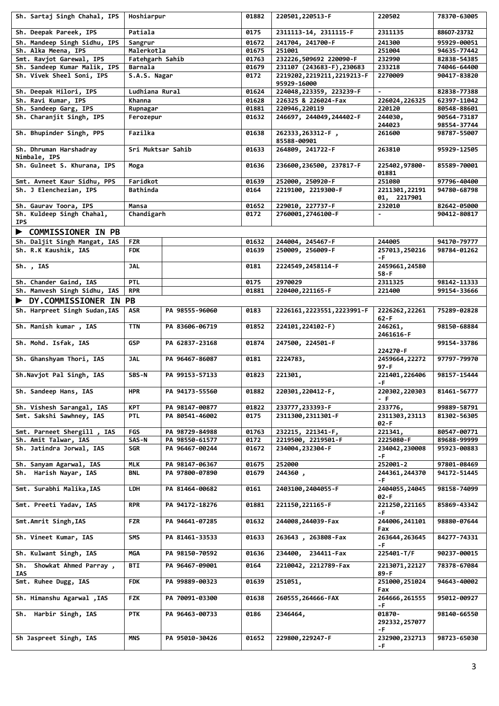| Sh. Sartaj Singh Chahal, IPS                      | Hoshiarpur        |                | 01882 | 220501, 220513-F                           | 220502                      | 78370-63005                |
|---------------------------------------------------|-------------------|----------------|-------|--------------------------------------------|-----------------------------|----------------------------|
| Sh. Deepak Pareek, IPS                            | Patiala           |                | 0175  | 2311113-14, 2311115-F                      | 2311135                     | 88607-23732                |
| Sh. Mandeep Singh Sidhu, IPS                      | Sangrur           |                | 01672 | 241704, 241700-F                           | 241300                      | 95929-00051                |
| Sh. Alka Meena, IPS                               | Malerkotla        |                | 01675 | 251001                                     | 251004                      | 94635-77442                |
| Smt. Ravjot Garewal, IPS                          | Fatehgarh Sahib   |                | 01763 | 232226,509692 220090-F                     | 232990                      | 82838-54385                |
| Sh. Sandeep Kumar Malik, IPS                      | Barnala           |                | 01679 | 231107 (243683-F), 230683                  | 233218                      | 74046-64400                |
| Sh. Vivek Sheel Soni, IPS                         | S.A.S. Nagar      |                | 0172  | 2219202, 2219211, 2219213-F<br>95929-16000 | 2270009                     | 90417-83820                |
| Sh. Deepak Hilori, IPS                            | Ludhiana Rural    |                | 01624 | 224048, 223359, 223239-F                   |                             | 82838-77388                |
| Sh. Ravi Kumar, IPS                               | Khanna            |                | 01628 | 226325 & 226024-Fax                        | 226024,226325               | 62397-11042                |
| Sh. Sandeep Garg, IPS<br>Sh. Charanjit Singh, IPS | Rupnagar          |                | 01881 | 220946, 220119<br>246697, 244049, 244402-F | 220120<br>244030,           | 80548-88601<br>90564-73187 |
|                                                   | Ferozepur         |                | 01632 |                                            | 244023                      | 98554-37744                |
| Sh. Bhupinder Singh, PPS                          | Fazilka           |                | 01638 | 262333, 263312-F,<br>85588-00901           | 261600                      | 98787-55007                |
| Sh. Dhruman Harshadray<br>Nimbale, IPS            | Sri Muktsar Sahib |                | 01633 | 264809, 241722-F                           | 263810                      | 95929-12505                |
| Sh. Gulneet S. Khurana, IPS                       | Moga              |                | 01636 | 236600, 236500, 237817-F                   | 225402,97800-<br>01881      | 85589-70001                |
| Smt. Avneet Kaur Sidhu, PPS                       | Faridkot          |                | 01639 | 252000, 250920-F                           | 251080                      | 97796-40400                |
| Sh. J Elenchezian, IPS                            | Bathinda          |                | 0164  | 2219100, 2219300-F                         | 2211301, 22191              | 94780-68798                |
|                                                   |                   |                |       |                                            | 01, 2217901                 |                            |
| Sh. Gaurav Toora, IPS                             | Mansa             |                | 01652 | 229010, 227737-F                           | 232010                      | 82642-05000                |
| Sh. Kuldeep Singh Chahal,                         | Chandigarh        |                | 0172  | 2760001, 2746100-F                         | $\sim$                      | 90412-80817                |
| <b>IPS</b>                                        |                   |                |       |                                            |                             |                            |
| <b>COMMISSIONER IN PB</b>                         |                   |                |       |                                            |                             |                            |
| Sh. Daljit Singh Mangat, IAS                      | <b>FZR</b>        |                | 01632 | 244004, 245467-F                           | 244005                      | 94170-79777                |
| Sh. R.K Kaushik, IAS                              | <b>FDK</b>        |                | 01639 | 250009, 256009-F                           | 257013,250216               | 98784-01262                |
|                                                   |                   |                |       |                                            | -F.                         |                            |
| Sh., IAS                                          | <b>JAL</b>        |                | 0181  | 2224549, 2458114-F                         | 2459661,24580<br>$58-F$     |                            |
| Sh. Chander Gaind, IAS                            | <b>PTL</b>        |                | 0175  | 2970029                                    | 2311325                     | 98142-11333                |
| Sh. Manvesh Singh Sidhu, IAS                      | <b>RPR</b>        |                | 01881 | 220400, 221165-F                           | 221400                      | 99154-33666                |
| DY.COMMISSIONER IN PB                             |                   |                |       |                                            |                             |                            |
| Sh. Harpreet Singh Sudan, IAS                     | ASR               | PA 98555-96060 | 0183  | 2226161, 2223551, 2223991-F                | 2226262,22261<br>$62-F$     | 75289-02828                |
| Sh. Manish kumar, IAS                             | <b>TTN</b>        | PA 83606-06719 | 01852 | 224101, 224102-F)                          | 246261,<br>2461616-F        | 98150-68884                |
| Sh. Mohd. Isfak, IAS                              | <b>GSP</b>        | PA 62837-23168 | 01874 | 247500, 224501-F                           | 224270-F                    | 99154-33786                |
| Sh. Ghanshyam Thori, IAS                          | <b>JAL</b>        | PA 96467-86087 | 0181  | 2224783,                                   | 2459664,22272<br>97-F       | 97797-79970                |
| Sh.Navjot Pal Singh, IAS                          | SBS-N             | PA 99153-57133 | 01823 | 221301,                                    | 221401,226406<br>-F.        | 98157-15444                |
| Sh. Sandeep Hans, IAS                             | HPR               | PA 94173-55560 | 01882 | 220301, 220412-F,                          | 220302, 220303<br>- F       | 81461-56777                |
| Sh. Vishesh Sarangal, IAS                         | KPT               | PA 98147-00877 | 01822 | 233777, 233393-F                           | 233776,                     | 99889-58791                |
| Smt. Sakshi Sawhney, IAS                          | <b>PTL</b>        | PA 80541-46002 | 0175  | 2311300, 2311301-F                         | 2311303, 23113<br>02-F      | 81302-56305                |
| Smt. Parneet Shergill, IAS                        | FGS               | PA 98729-84988 | 01763 | 232215, 221341-F,                          | 221341,                     | 80547-00771                |
| Sh. Amit Talwar, IAS                              | SAS-N             | PA 98550-61577 | 0172  | 2219500, 2219501-F                         | 2225080-F                   | 89688-99999                |
| Sh. Jatindra Jorwal, IAS                          | <b>SGR</b>        | PA 96467-00244 | 01672 | 234004, 232304-F                           | 234042,230008               | 95923-00883                |
|                                                   |                   |                |       |                                            | -F.                         |                            |
| Sh. Sanyam Agarwal, IAS                           | <b>MLK</b>        | PA 98147-06367 | 01675 | 252000                                     | 252001-2                    | 97801-08469                |
| Sh. Harish Nayar, IAS                             | <b>BNL</b>        | PA 97800-07890 | 01679 | 244360,                                    | 244361, 244370              | 94172-51445                |
| Smt. Surabhi Malika, IAS                          | LDH               | PA 81464-00682 | 0161  | 2403100, 2404055-F                         | -F.<br>2404055,24045        | 98158-74099                |
| Smt. Preeti Yadav, IAS                            | <b>RPR</b>        | PA 94172-18276 | 01881 | 221150, 221165-F                           | 02-F<br>221250, 221165      | 85869-43342                |
| Smt.Amrit Singh, IAS                              | <b>FZR</b>        | PA 94641-07285 | 01632 | 244008, 244039-Fax                         | -F.<br>244006, 241101       | 98880-07644                |
| Sh. Vineet Kumar, IAS                             | SMS               | PA 81461-33533 | 01633 | 263643, 263808-Fax                         | Fax<br>263644, 263645       | 84277-74331                |
| Sh. Kulwant Singh, IAS                            | <b>MGA</b>        | PA 98150-70592 | 01636 | 234411-Fax<br>234400,                      | -F.<br>225401-T/F           | 90237-00015                |
| Showkat Ahmed Parray,<br>Sh.<br>IAS               | <b>BTI</b>        | PA 96467-09001 | 0164  | 2210042, 2212789-Fax                       | 2213071, 22127<br>89-F      | 78378-67084                |
| Smt. Ruhee Dugg, IAS                              | <b>FDK</b>        | PA 99889-00323 | 01639 | 251051,                                    | 251000, 251024<br>Fax       | 94643-40002                |
| Sh. Himanshu Agarwal, IAS                         | <b>FZK</b>        | PA 70091-03300 | 01638 | 260555, 264666-FAX                         | 264666, 261555<br>-F.       | 95012-00927                |
| Sh. Harbir Singh, IAS                             | <b>PTK</b>        | PA 96463-00733 | 0186  | 2346464,                                   | $01870 -$<br>292332, 257077 | 98140-66550                |
| Sh Jaspreet Singh, IAS                            | <b>MNS</b>        | PA 95010-30426 | 01652 | 229800, 229247-F                           | -F.<br>232900, 232713<br>-F | 98723-65030                |
|                                                   |                   |                |       |                                            |                             |                            |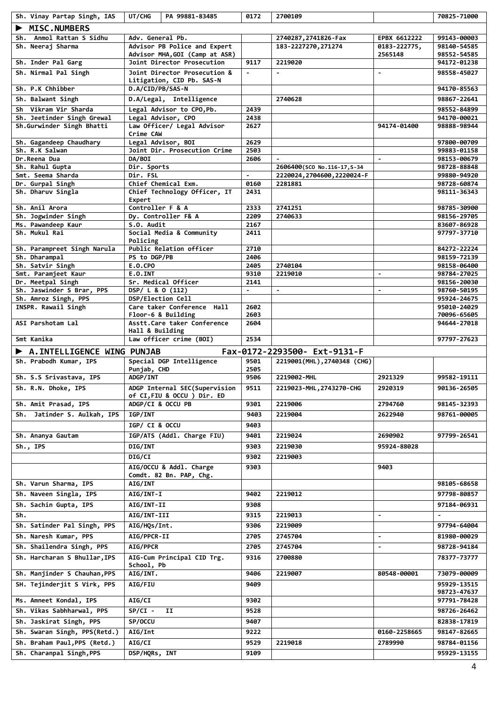| Sh. Vinay Partap Singh, IAS             | UT/CHG                  | PA 99881-83485                                               | 0172           | 2700109                                                    |                          | 70825-71000                |
|-----------------------------------------|-------------------------|--------------------------------------------------------------|----------------|------------------------------------------------------------|--------------------------|----------------------------|
| <b>MISC.NUMBERS</b>                     |                         |                                                              |                |                                                            |                          |                            |
| Sh. Anmol Rattan S Sidhu                | Adv. General Pb.        |                                                              |                | 2740287, 2741826-Fax                                       | EPBX 6612222             | 99143-00003                |
| Sh. Neeraj Sharma                       |                         | Advisor PB Police and Expert                                 |                | 183-2227270, 271274                                        | 0183-222775,             | 98140-54585                |
| Sh. Inder Pal Garg                      |                         | Advisor MHA, GOI (Camp at ASR)<br>Joint Director Prosecution | 9117           | 2219020                                                    | 2565148                  | 98552-54585<br>94172-01238 |
| Sh. Nirmal Pal Singh                    |                         | Joint Director Prosecution &                                 | $\blacksquare$ | $\blacksquare$                                             | $\blacksquare$           | 98558-45027                |
|                                         |                         | Litigation, CID Pb. SAS-N                                    |                |                                                            |                          |                            |
| Sh. P.K Chhibber                        | D.A/CID/PB/SAS-N        |                                                              |                |                                                            |                          | 94170-85563                |
| Sh. Balwant Singh                       |                         | D.A/Legal, Intelligence                                      |                | 2740628                                                    |                          | 98867-22641                |
| Sh Vikram Vir Sharda                    |                         | Legal Advisor to CPO, Pb.                                    | 2439           |                                                            |                          | 98552-84899                |
| Sh. Jeetinder Singh Grewal              |                         | Legal Advisor, CPO                                           | 2438           |                                                            |                          | 94170-00021                |
| Sh.Gurwinder Singh Bhatti               | Crime CAW               | Law Officer/ Legal Advisor                                   | 2627           |                                                            | 94174-01400              | 98888-98944                |
| Sh. Gagandeep Chaudhary                 |                         | Legal Advisor, BOI                                           | 2629           |                                                            |                          | 97800-00709                |
| Sh. R.K Salwan                          |                         | Joint Dir. Prosecution Crime                                 | 2503           |                                                            |                          | 99883-01158                |
| Dr.Reena Dua                            | <b>DA/BOI</b>           |                                                              | 2606           | $\sim$                                                     | $\blacksquare$           | 98153-00679                |
| Sh. Rahul Gupta<br>Smt. Seema Sharda    | Dir. Sports<br>Dir. FSL |                                                              | $\blacksquare$ | 2606400(SCO No.116-17, S-34<br>2220024, 2704600, 2220024-F |                          | 98728-88848<br>99880-94920 |
| Dr. Gurpal Singh                        |                         | Chief Chemical Exm.                                          | 0160           | 2281881                                                    |                          | 98728-60874                |
| Sh. Dharuv Singla                       |                         | Chief Technology Officer, IT                                 | 2431           |                                                            |                          | 98111-36343                |
|                                         | Expert                  |                                                              |                |                                                            |                          |                            |
| Sh. Anil Arora<br>Sh. Jogwinder Singh   | Controller F & A        | Dy. Controller F& A                                          | 2333<br>2209   | 2741251<br>2740633                                         |                          | 98785-30900<br>98156-29705 |
| Ms. Pawandeep Kaur                      | S.O. Audit              |                                                              | 2167           |                                                            |                          | 83607-86928                |
| Sh. Mukul Rai                           |                         | Social Media & Community                                     | 2411           |                                                            |                          | 97797-37710                |
|                                         | Policing                |                                                              |                |                                                            |                          |                            |
| Sh. Parampreet Singh Narula             |                         | Public Relation officer                                      | 2710           |                                                            |                          | 84272-22224                |
| Sh. Dharampal                           | PS to DGP/PB            |                                                              | 2406           |                                                            |                          | 98159-72139                |
| Sh. Satvir Singh<br>Smt. Paramjeet Kaur | E.O.CPO<br>E.O.INT      |                                                              | 2405<br>9310   | 2740104<br>2219010                                         | $\blacksquare$           | 98158-06400<br>98784-27025 |
| Dr. Meetpal Singh                       |                         | Sr. Medical Officer                                          | 2141           |                                                            |                          | 98156-20030                |
| Sh. Jaswinder S Brar, PPS               | DSP/ L & O (112)        |                                                              | $\blacksquare$ | $\blacksquare$                                             | $\blacksquare$           | 98760-50195                |
| Sh. Amroz Singh, PPS                    | DSP/Election Cell       |                                                              |                |                                                            |                          | 95924-24675                |
| INSPR. Rawail Singh                     |                         | Care taker Conference Hall                                   | 2602           |                                                            |                          | 95010-24029                |
| ASI Parshotam Lal                       |                         | Floor-6 & Building<br>Asstt. Care taker Conference           | 2603<br>2604   |                                                            |                          | 70096-65605<br>94644-27018 |
|                                         | Hall & Building         |                                                              |                |                                                            |                          |                            |
| Smt Kanika                              |                         | Law officer crime (BOI)                                      | 2534           |                                                            |                          | 97797-27623                |
| A. INTELLIGENCE WING PUNJAB             |                         |                                                              |                | Fax-0172-2293500- Ext-9131-F                               |                          |                            |
| Sh. Prabodh Kumar, IPS                  |                         | Special DGP Intelligence                                     | 9501           | 2219001(MHL), 2740348 (CHG)                                |                          |                            |
|                                         | Punjab, CHD             |                                                              | 2505           |                                                            |                          |                            |
| Sh. S.S Srivastava, IPS                 | ADGP/INT                |                                                              | 9506           | 2219002-MHL                                                | 2921329                  | 99582-19111                |
| Sh. R.N. Dhoke, IPS                     |                         | ADGP Internal SEC(Supervision                                | 9511           | 2219023-MHL, 2743270-CHG                                   | 2920319                  | 90136-26505                |
| Sh. Amit Prasad, IPS                    | ADGP/CI & OCCU PB       | of CI,FIU & OCCU ) Dir. ED                                   | 9301           | 2219006                                                    | 2794760                  | 98145-32393                |
| Sh. Jatinder S. Aulkah, IPS             | <b>IGP/INT</b>          |                                                              | 9403           | 2219004                                                    | 2622940                  | 98761-00005                |
|                                         |                         |                                                              | 9403           |                                                            |                          |                            |
|                                         | IGP/ CI & OCCU          |                                                              |                |                                                            |                          |                            |
| Sh. Ananya Gautam                       |                         | IGP/ATS (Addl. Charge FIU)                                   | 9401           | 2219024                                                    | 2690902                  | 97799-26541                |
| $Sh.,$ IPS                              | <b>DIG/INT</b>          |                                                              | 9303           | 2219030                                                    | 95924-88028              |                            |
|                                         | <b>DIG/CI</b>           |                                                              | 9302           | 2219003                                                    |                          |                            |
|                                         |                         | AIG/OCCU & Addl. Charge<br>Comdt. 82 Bn. PAP, Chg.           | 9303           |                                                            | 9403                     |                            |
| Sh. Varun Sharma, IPS                   | <b>AIG/INT</b>          |                                                              |                |                                                            |                          | 98105-68658                |
| Sh. Naveen Singla, IPS                  | <b>AIG/INT-I</b>        |                                                              | 9402           | 2219012                                                    |                          | 97798-80857                |
| Sh. Sachin Gupta, IPS                   | AIG/INT-II              |                                                              | 9308           |                                                            |                          | 97184-06931                |
| Sh.                                     | AIG/INT-III             |                                                              | 9315           | 2219013                                                    | ٠                        |                            |
|                                         |                         |                                                              |                |                                                            |                          | 97794-64004                |
| Sh. Satinder Pal Singh, PPS             | AIG/HQs/Int.            |                                                              | 9306           | 2219009                                                    |                          |                            |
| Sh. Naresh Kumar, PPS                   | AIG/PPCR-II             |                                                              | 2705           | 2745704                                                    |                          | 81980-00029                |
| Sh. Shailendra Singh, PPS               | <b>AIG/PPCR</b>         |                                                              | 2705           | 2745704                                                    | $\overline{\phantom{0}}$ | 98728-94184                |
| Sh. Harcharan S Bhullar, IPS            |                         | AIG-Cum Principal CID Trg.                                   | 9316           | 2700880                                                    |                          | 78377-73777                |
| Sh. Manjinder S Chauhan, PPS            | School, Pb<br>AIG/INT.  |                                                              | 9406           | 2219007                                                    | 80548-00001              | 73079-00009                |
| SH. Tejinderjit S Virk, PPS             | <b>AIG/FIU</b>          |                                                              | 9409           |                                                            |                          | 95929-13515                |
|                                         |                         |                                                              |                |                                                            |                          | 98723-47637                |
| Ms. Amneet Kondal, IPS                  | <b>AIG/CI</b>           |                                                              | 9302           |                                                            |                          | 97791-78428                |
| Sh. Vikas Sabhharwal, PPS               | $SP/CI -$               | IJ                                                           | 9528           |                                                            |                          | 98726-26462                |
| Sh. Jaskirat Singh, PPS                 | SP/OCCU                 |                                                              | 9407           |                                                            |                          | 82838-17819                |
| Sh. Swaran Singh, PPS(Retd.)            | <b>AIG/Int</b>          |                                                              | 9222           |                                                            | 0160-2258665             | 98147-82665                |
| Sh. Braham Paul, PPS (Retd.)            | AIG/CI                  |                                                              | 9529           | 2219018                                                    | 2789990                  | 98784-01156                |
| Sh. Charanpal Singh, PPS                | DSP/HQRs, INT           |                                                              | 9109           |                                                            |                          | 95929-13155                |
|                                         |                         |                                                              |                |                                                            |                          |                            |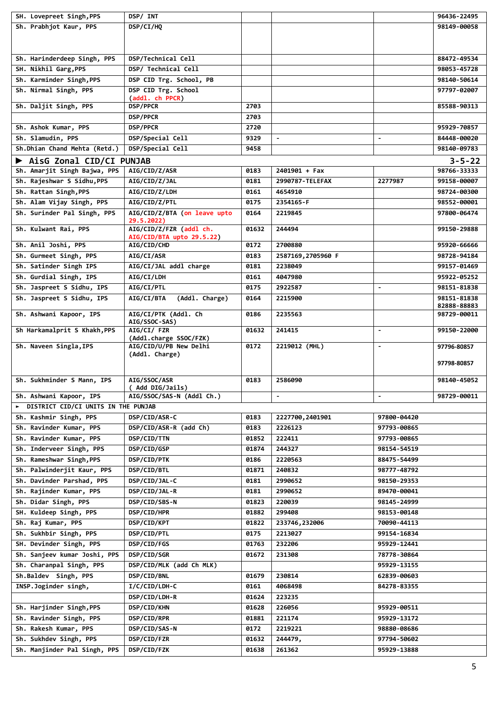| SH. Lovepreet Singh, PPS            | DSP/ INT                                         |       |                   |                          | 96436-22495                |
|-------------------------------------|--------------------------------------------------|-------|-------------------|--------------------------|----------------------------|
| Sh. Prabhjot Kaur, PPS              | DSP/CI/HQ                                        |       |                   |                          | 98149-00058                |
|                                     |                                                  |       |                   |                          |                            |
|                                     |                                                  |       |                   |                          |                            |
| Sh. Harinderdeep Singh, PPS         | DSP/Technical Cell                               |       |                   |                          | 88472-49534                |
| SH. Nikhil Garg, PPS                | DSP/ Technical Cell                              |       |                   |                          | 98053-45728                |
| Sh. Karminder Singh, PPS            | DSP CID Trg. School, PB                          |       |                   |                          | 98140-50614                |
| Sh. Nirmal Singh, PPS               | DSP CID Trg. School                              |       |                   |                          | 97797-02007                |
|                                     | (addl. ch PPCR)                                  |       |                   |                          |                            |
| Sh. Daljit Singh, PPS               | <b>DSP/PPCR</b>                                  | 2703  |                   |                          | 85588-90313                |
|                                     | <b>DSP/PPCR</b>                                  | 2703  |                   |                          |                            |
| Sh. Ashok Kumar, PPS                | <b>DSP/PPCR</b>                                  | 2720  |                   |                          | 95929-70857                |
| Sh. Slamudin, PPS                   | DSP/Special Cell                                 | 9329  | $\blacksquare$    |                          | 84448-00020                |
| Sh.Dhian Chand Mehta (Retd.)        | DSP/Special Cell                                 | 9458  |                   |                          | 98140-09783                |
| AisG Zonal CID/CI PUNJAB            |                                                  |       |                   |                          | $3 - 5 - 22$               |
| Sh. Amarjit Singh Bajwa, PPS        | AIG/CID/Z/ASR                                    | 0183  | $2401901 + Fax$   |                          | 98766-33333                |
| Sh. Rajeshwar S Sidhu, PPS          | <b>AIG/CID/Z/JAL</b>                             | 0181  | 2990787-TELEFAX   | 2277987                  | 99158-00007                |
| Sh. Rattan Singh, PPS               | AIG/CID/Z/LDH                                    | 0161  | 4654910           |                          | 98724-00300                |
| Sh. Alam Vijay Singh, PPS           | AIG/CID/Z/PTL                                    | 0175  | 2354165-F         |                          | 98552-00001                |
| Sh. Surinder Pal Singh, PPS         | AIG/CID/Z/BTA (on leave upto                     | 0164  | 2219845           |                          | 97800-06474                |
|                                     | 29.5.2022)                                       |       |                   |                          |                            |
| Sh. Kulwant Rai, PPS                | AIG/CID/Z/FZR (addl ch.                          | 01632 | 244494            |                          | 99150-29888                |
| Sh. Anil Joshi, PPS                 | AIG/CID/BTA upto 29.5.22)<br>AIG/CID/CHD         | 0172  | 2700880           |                          | 95920-66666                |
|                                     |                                                  |       |                   |                          |                            |
| Sh. Gurmeet Singh, PPS              | AIG/CI/ASR                                       | 0183  | 2587169,2705960 F |                          | 98728-94184                |
| Sh. Satinder Singh IPS              | AIG/CI/JAL addl charge                           | 0181  | 2238049           |                          | 99157-01469                |
| Sh. Gurdial Singh, IPS              | AIG/CI/LDH                                       | 0161  | 4047980           |                          | 95922-05252                |
| Sh. Jaspreet S Sidhu, IPS           | AIG/CI/PTL                                       | 0175  | 2922587           | $\blacksquare$           | 98151-81838                |
| Sh. Jaspreet S Sidhu, IPS           | (Addl. Charge)<br><b>AIG/CI/BTA</b>              | 0164  | 2215900           |                          | 98151-81838<br>82888-88883 |
| Sh. Ashwani Kapoor, IPS             | AIG/CI/PTK (Addl. Ch                             | 0186  | 2235563           |                          | 98729-00011                |
|                                     | AIG/SSOC-SAS)                                    |       |                   |                          |                            |
| Sh Harkamalprit S Khakh, PPS        | AIG/CI/ FZR                                      | 01632 | 241415            | $\blacksquare$           | 99150-22000                |
| Sh. Naveen Singla, IPS              | (Addl.charge SSOC/FZK)<br>AIG/CID/U/PB New Delhi | 0172  | 2219012 (MHL)     | $\overline{\phantom{a}}$ | 97796-80857                |
|                                     | (Addl. Charge)                                   |       |                   |                          |                            |
|                                     |                                                  |       |                   |                          | 97798-80857                |
|                                     |                                                  |       |                   |                          |                            |
| Sh. Sukhminder S Mann, IPS          | <b>AIG/SSOC/ASR</b><br>( Add DIG/Jails)          | 0183  | 2586090           |                          | 98140-45052                |
| Sh. Ashwani Kapoor, IPS             | AIG/SSOC/SAS-N (Addl Ch.)                        |       |                   |                          | 98729-00011                |
| DISTRICT CID/CI UNITS IN THE PUNJAB |                                                  |       |                   |                          |                            |
| Sh. Kashmir Singh, PPS              | DSP/CID/ASR-C                                    | 0183  | 2227700,2401901   | 97800-04420              |                            |
| Sh. Ravinder Kumar, PPS             | DSP/CID/ASR-R (add Ch)                           | 0183  | 2226123           | 97793-00865              |                            |
| Sh. Ravinder Kumar, PPS             | DSP/CID/TTN                                      | 01852 | 222411            | 97793-00865              |                            |
| Sh. Inderveer Singh, PPS            | DSP/CID/GSP                                      | 01874 | 244327            | 98154-54519              |                            |
| Sh. Rameshwar Singh, PPS            | DSP/CID/PTK                                      | 0186  | 2220563           | 88475-54499              |                            |
|                                     |                                                  |       |                   |                          |                            |
| Sh. Palwinderjit Kaur, PPS          | DSP/CID/BTL<br>DSP/CID/JAL-C                     | 01871 | 240832            | 98777-48792              |                            |
| Sh. Davinder Parshad, PPS           |                                                  | 0181  | 2990652           | 98150-29353              |                            |
| Sh. Rajinder Kumar, PPS             | DSP/CID/JAL-R                                    | 0181  | 2990652           | 89470-00041              |                            |
| Sh. Didar Singh, PPS                | DSP/CID/SBS-N                                    | 01823 | 220039            | 98145-24999              |                            |
| SH. Kuldeep Singh, PPS              | DSP/CID/HPR                                      | 01882 | 299408            | 98153-00148              |                            |
| Sh. Raj Kumar, PPS                  | DSP/CID/KPT                                      | 01822 | 233746,232006     | 70090-44113              |                            |
| Sh. Sukhbir Singh, PPS              | DSP/CID/PTL                                      | 0175  | 2213027           | 99154-16834              |                            |
| SH. Devinder Singh, PPS             | DSP/CID/FGS                                      | 01763 | 232206            | 95929-12441              |                            |
| Sh. Sanjeev kumar Joshi, PPS        | <b>DSP/CID/SGR</b>                               | 01672 | 231308            | 78778-30864              |                            |
| Sh. Charanpal Singh, PPS            | DSP/CID/MLK (add Ch MLK)                         |       |                   | 95929-13155              |                            |
| Sh.Baldev Singh, PPS                | DSP/CID/BNL                                      | 01679 | 230814            | 62839-00603              |                            |
| INSP.Joginder singh,                | I/C/CID/LDH-C                                    | 0161  | 4068498           | 84278-83355              |                            |
|                                     | DSP/CID/LDH-R                                    | 01624 | 223235            |                          |                            |
| Sh. Harjinder Singh, PPS            | <b>DSP/CID/KHN</b>                               | 01628 | 226056            | 95929-00511              |                            |
| Sh. Ravinder Singh, PPS             | DSP/CID/RPR                                      | 01881 | 221174            | 95929-13172              |                            |
| Sh. Rakesh Kumar, PPS               | DSP/CID/SAS-N                                    | 0172  | 2219221           | 98880-08686              |                            |
| Sh. Sukhdev Singh, PPS              | DSP/CID/FZR                                      | 01632 | 244479,           | 97794-50602              |                            |
| Sh. Manjinder Pal Singh, PPS        | DSP/CID/FZK                                      | 01638 | 261362            | 95929-13888              |                            |
|                                     |                                                  |       |                   |                          |                            |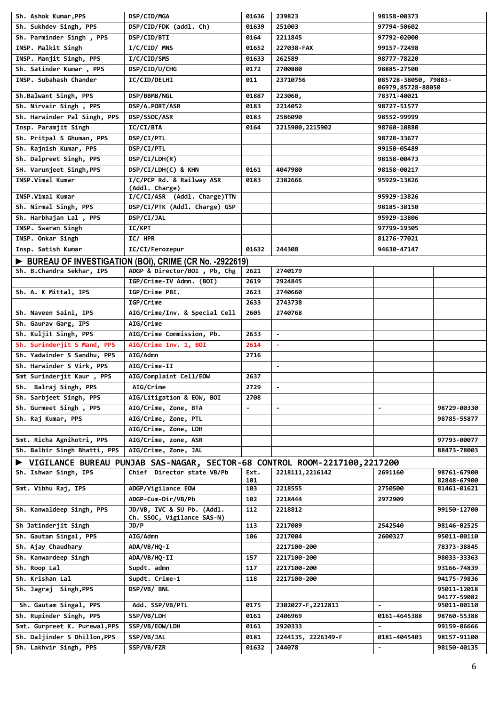| Sh. Ashok Kumar, PPS          | DSP/CID/MGA                                                                                             | 01636 | 239823             | 98158-00373                               |                            |
|-------------------------------|---------------------------------------------------------------------------------------------------------|-------|--------------------|-------------------------------------------|----------------------------|
| Sh. Sukhdev Singh, PPS        | DSP/CID/FDK (addl. Ch)                                                                                  | 01639 | 251003             | 97794-50602                               |                            |
| Sh. Parminder Singh, PPS      | DSP/CID/BTI                                                                                             | 0164  | 2211845            | 97792-02000                               |                            |
| INSP. Malkit Singh            | I/C/CID/ MNS                                                                                            | 01652 | 227038-FAX         | 99157-72498                               |                            |
| INSP. Manjit Singh, PPS       | I/C/CID/SMS                                                                                             | 01633 | 262589             | 98777-78220                               |                            |
| Sh. Satinder Kumar, PPS       | DSP/CID/U/CHG                                                                                           | 0172  | 2700880            | 98885-27500                               |                            |
| INSP. Subahash Chander        | <b>IC/CID/DELHI</b>                                                                                     | 011   | 23710756           | 085728-38050, 79883-<br>06979,85728-88050 |                            |
| Sh.Balwant Singh, PPS         | DSP/BBMB/NGL                                                                                            | 01887 | 223060,            | 78371-40021                               |                            |
| Sh. Nirvair Singh, PPS        | DSP/A.PORT/ASR                                                                                          | 0183  | 2214052            | 98727-51577                               |                            |
| Sh. Harwinder Pal Singh, PPS  | DSP/SSOC/ASR                                                                                            | 0183  | 2586090            | 98552-99999                               |                            |
| Insp. Paramjit Singh          | IC/CI/BTA                                                                                               | 0164  | 2215900, 2215902   | 98760-10880                               |                            |
| Sh. Pritpal S Ghuman, PPS     | DSP/CI/PTL                                                                                              |       |                    | 98728-33677                               |                            |
| Sh. Rajnish Kumar, PPS        | DSP/CI/PTL                                                                                              |       |                    | 99150-05489                               |                            |
| Sh. Dalpreet Singh, PPS       | DSP/CI/LDH(R)                                                                                           |       |                    | 98158-00473                               |                            |
| SH. Varunjeet Singh, PPS      | DSP/CI/LDH(C) & KHN                                                                                     | 0161  | 4047980            | 98158-00217                               |                            |
| INSP.Vimal Kumar              | I/C/PCP Rd. & Railway ASR                                                                               | 0183  | 2382666            | 95929-13826                               |                            |
|                               | (Addl. Charge)                                                                                          |       |                    |                                           |                            |
| INSP.Vimal Kumar              | I/C/CI/ASR (Addl. Charge)TTN                                                                            |       |                    | 95929-13826                               |                            |
| Sh. Nirmal Singh, PPS         | DSP/CI/PTK (Addl. Charge) GSP                                                                           |       |                    | 98185-38150                               |                            |
| Sh. Harbhajan Lal, PPS        | DSP/CI/JAL                                                                                              |       |                    | 95929-13806                               |                            |
| INSP. Swaran Singh            | <b>IC/KPT</b>                                                                                           |       |                    | 97799-19305                               |                            |
| INSP. Onkar Singh             | IC/ HPR                                                                                                 |       |                    | 81276-77021                               |                            |
| Insp. Satish Kumar            | IC/CI/Ferozepur                                                                                         | 01632 | 244308             | 94630-47147                               |                            |
|                               | BUREAU OF INVESTIGATION (BOI), CRIME (CR No. -2922619)                                                  |       |                    |                                           |                            |
| Sh. B.Chandra Sekhar, IPS     | ADGP & Director/BOI, Pb, Chg                                                                            | 2621  | 2740179            |                                           |                            |
|                               | IGP/Crime-IV Admn. (BOI)                                                                                | 2619  | 2924845            |                                           |                            |
| Sh. A. K Mittal, IPS          | IGP/Crime PBI.                                                                                          | 2623  | 2740660            |                                           |                            |
|                               | IGP/Crime                                                                                               | 2633  | 2743738            |                                           |                            |
| Sh. Naveen Saini, IPS         | AIG/Crime/Inv. & Special Cell                                                                           | 2605  | 2740768            |                                           |                            |
| Sh. Gaurav Garg, IPS          | <b>AIG/Crime</b>                                                                                        |       |                    |                                           |                            |
| Sh. Kuljit Singh, PPS         | AIG/Crime Commission, Pb.                                                                               | 2633  | $\blacksquare$     |                                           |                            |
| Sh. Surinderjit S Mand, PPS   | AIG/Crime Inv. 1, BOI                                                                                   | 2614  | $\blacksquare$     |                                           |                            |
| Sh. Yadwinder S Sandhu, PPS   | AIG/Admn                                                                                                | 2716  |                    |                                           |                            |
| Sh. Harwinder S Virk, PPS     | AIG/Crime-II                                                                                            |       | $\blacksquare$     |                                           |                            |
| Smt Surinderjit Kaur, PPS     | AIG/Complaint Cell/EOW                                                                                  | 2637  |                    |                                           |                            |
| Sh. Balraj Singh, PPS         | AIG/Crime                                                                                               | 2729  |                    |                                           |                            |
| Sh. Sarbjeet Singh, PPS       | AIG/Litigation & EOW, BOI                                                                               | 2708  |                    |                                           |                            |
| Sh. Gurmeet Singh, PPS        | AIG/Crime, Zone, BTA                                                                                    |       |                    |                                           | 98729-00330                |
| Sh. Raj Kumar, PPS            | AIG/Crime, Zone, PTL                                                                                    |       |                    |                                           | 98785-55877                |
|                               | AIG/Crime, Zone, LDH                                                                                    |       |                    |                                           |                            |
| Smt. Richa Agnihotri, PPS     | AIG/Crime, zone, ASR                                                                                    |       |                    |                                           | 97793-00077                |
| Sh. Balbir Singh Bhatti, PPS  | AIG/Crime, Zone, JAL                                                                                    |       |                    |                                           | 88473-78003                |
|                               |                                                                                                         |       |                    |                                           |                            |
| Sh. Ishwar Singh, IPS         | VIGILANCE BUREAU PUNJAB SAS-NAGAR, SECTOR-68 CONTROL ROOM-2217100,2217200<br>Chief Director state VB/Pb | Ext.  | 2218111, 2216142   | 2691160                                   | 98761-67900                |
|                               |                                                                                                         | 101   |                    |                                           | 82848-67900                |
| Smt. Vibhu Raj, IPS           | ADGP/Vigilance EOW                                                                                      | 103   | 2218555            | 2750500                                   | 81461-01621                |
|                               | ADGP-Cum-Dir/VB/Pb                                                                                      | 102   | 2218444            | 2972909                                   |                            |
| Sh. Kanwaldeep Singh, PPS     | JD/VB, IVC & SU Pb. (Addl.<br>Ch. SSOC, Vigilance SAS-N)                                                | 112   | 2218812            |                                           | 99150-12700                |
| Sh Jatinderjit Singh          | JD/P                                                                                                    | 113   | 2217009            | 2542540                                   | 98146-02525                |
| Sh. Gautam Singal, PPS        | AIG/Admn                                                                                                | 106   | 2217004            | 2600327                                   | 95011-00110                |
| Sh. Ajay Chaudhary            | ADA/VB/HQ-I                                                                                             |       | 2217100-200        |                                           | 78373-38845                |
| Sh. Kanwardeep Singh          | ADA/VB/HQ-II                                                                                            | 157   | 2217100-200        |                                           | 98033-33363                |
| Sh. Roop Lal                  | Supdt. admn                                                                                             | 117   | 2217100-200        |                                           | 93166-74839                |
| Sh. Krishan Lal               | Supdt. Crime-1                                                                                          | 118   | 2217100-200        |                                           | 94175-79836                |
| Sh. Jagraj Singh, PPS         | DSP/VB/ BNL                                                                                             |       |                    |                                           | 95011-12018<br>94177-59082 |
| Sh. Gautam Singal, PPS        | Add. SSP/VB/PTL                                                                                         | 0175  | 2302027-F, 2212811 | $\blacksquare$                            | 95011-00110                |
| Sh. Rupinder Singh, PPS       | SSP/VB/LDH                                                                                              | 0161  | 2406969            | 0161-4645388                              | 98760-55388                |
| Smt. Gurpreet K. Purewal, PPS | SSP/VB/EOW/LDH                                                                                          | 0161  | 2920333            |                                           | 99159-06666                |
| Sh. Daljinder S Dhillon, PPS  | SSP/VB/JAL                                                                                              | 0181  | 2244135, 2226349-F | 0181-4045403                              | 98157-91100                |
| Sh. Lakhvir Singh, PPS        | SSP/VB/FZR                                                                                              | 01632 | 244078             | $\blacksquare$                            | 98150-40135                |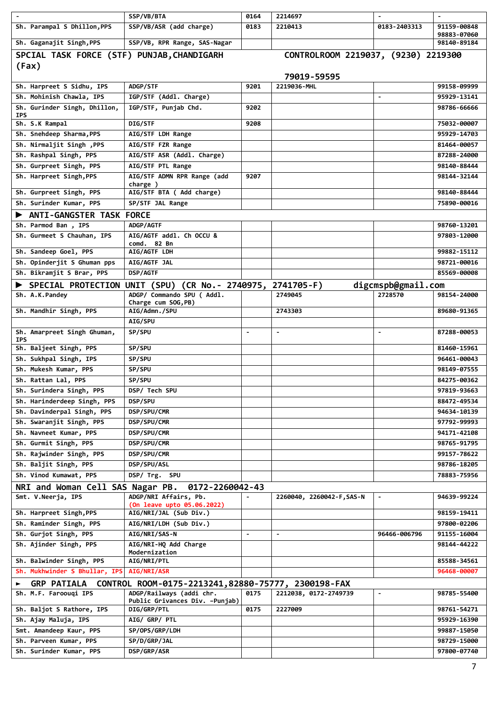|                                            | SSP/VB/BTA                                                 | 0164           | 2214697                             |                          |                            |
|--------------------------------------------|------------------------------------------------------------|----------------|-------------------------------------|--------------------------|----------------------------|
| Sh. Parampal S Dhillon, PPS                | SSP/VB/ASR (add charge)                                    | 0183           | 2210413                             | 0183-2403313             | 91159-00848                |
| Sh. Gaganajit Singh, PPS                   | SSP/VB, RPR Range, SAS-Nagar                               |                |                                     |                          | 98883-07060<br>98140-89184 |
| SPCIAL TASK FORCE (STF) PUNJAB, CHANDIGARH |                                                            |                | CONTROLROOM 2219037, (9230) 2219300 |                          |                            |
|                                            |                                                            |                |                                     |                          |                            |
| (Fax)                                      |                                                            |                | 79019-59595                         |                          |                            |
| Sh. Harpreet S Sidhu, IPS                  | ADGP/STF                                                   | 9201           | 2219036-MHL                         |                          | 99158-09999                |
| Sh. Mohinish Chawla, IPS                   | IGP/STF (Addl. Charge)                                     |                |                                     |                          | 95929-13141                |
| Sh. Gurinder Singh, Dhillon,               | IGP/STF, Punjab Chd.                                       | 9202           |                                     |                          | 98786-66666                |
| <b>IPS</b>                                 |                                                            |                |                                     |                          |                            |
| Sh. S.K Rampal                             | DIG/STF                                                    | 9208           |                                     |                          | 75032-00007                |
| Sh. Snehdeep Sharma, PPS                   | AIG/STF LDH Range                                          |                |                                     |                          | 95929-14703                |
| Sh. Nirmaljit Singh , PPS                  | AIG/STF FZR Range                                          |                |                                     |                          | 81464-00057                |
| Sh. Rashpal Singh, PPS                     | AIG/STF ASR (Addl. Charge)                                 |                |                                     |                          | 87288-24000                |
| Sh. Gurpreet Singh, PPS                    | AIG/STF PTL Range                                          |                |                                     |                          | 98140-88444                |
| Sh. Harpreet Singh, PPS                    | AIG/STF ADMN RPR Range (add                                | 9207           |                                     |                          | 98144-32144                |
| Sh. Gurpreet Singh, PPS                    | charge)<br>AIG/STF BTA ( Add charge)                       |                |                                     |                          | 98140-88444                |
| Sh. Surinder Kumar, PPS                    | SP/STF JAL Range                                           |                |                                     |                          | 75890-00016                |
| ANTI-GANGSTER TASK FORCE                   |                                                            |                |                                     |                          |                            |
| Sh. Parmod Ban, IPS                        | <b>ADGP/AGTF</b>                                           |                |                                     |                          | 98760-13201                |
| Sh. Gurmeet S Chauhan, IPS                 | AIG/AGTF addl. Ch OCCU &                                   |                |                                     |                          | 97803-12000                |
|                                            | comd. 82 Bn                                                |                |                                     |                          |                            |
| Sh. Sandeep Goel, PPS                      | AIG/AGTF LDH                                               |                |                                     |                          | 99882-15112                |
| Sh. Opinderjit S Ghuman pps                | AIG/AGTF JAL                                               |                |                                     |                          | 98721-00016                |
| Sh. Bikramjit S Brar, PPS                  | <b>DSP/AGTF</b>                                            |                |                                     |                          | 85569-00008                |
|                                            | SPECIAL PROTECTION UNIT (SPU) (CR No.- 2740975, 2741705-F) |                |                                     | digcmspb@gmail.com       |                            |
| Sh. A.K.Pandey                             | ADGP/ Commando SPU ( Addl.                                 |                | 2749045                             | 2728570                  | 98154-24000                |
| Sh. Mandhir Singh, PPS                     | Charge cum SOG, PB)<br>AIG/Admn./SPU                       |                | 2743303                             |                          | 89680-91365                |
|                                            | AIG/SPU                                                    |                |                                     |                          |                            |
| Sh. Amarpreet Singh Ghuman,                | SP/SPU                                                     | $\blacksquare$ | $\blacksquare$                      |                          | 87288-00053                |
| <b>IPS</b>                                 |                                                            |                |                                     |                          |                            |
| Sh. Baljeet Singh, PPS                     | SP/SPU                                                     |                |                                     |                          | 81460-15961                |
| Sh. Sukhpal Singh, IPS                     | SP/SPU                                                     |                |                                     |                          | 96461-00043                |
| Sh. Mukesh Kumar, PPS                      | SP/SPU                                                     |                |                                     |                          | 98149-07555                |
| Sh. Rattan Lal, PPS                        | SP/SPU                                                     |                |                                     |                          | 84275-00362                |
| Sh. Surindera Singh, PPS                   | DSP/ Tech SPU                                              |                |                                     |                          | 97819-93663                |
| Sh. Harinderdeep Singh, PPS                | DSP/SPU                                                    |                |                                     |                          | 88472-49534                |
| Sh. Davinderpal Singh, PPS                 | DSP/SPU/CMR                                                |                |                                     |                          | 94634-10139                |
| Sh. Swaranjit Singh, PPS                   | DSP/SPU/CMR                                                |                |                                     |                          | 97792-99993                |
| Sh. Navneet Kumar, PPS                     | DSP/SPU/CMR                                                |                |                                     |                          | 94171-42108                |
| Sh. Gurmit Singh, PPS                      | DSP/SPU/CMR                                                |                |                                     |                          | 98765-91795                |
| Sh. Rajwinder Singh, PPS                   | DSP/SPU/CMR                                                |                |                                     |                          | 99157-78622                |
| Sh. Baljit Singh, PPS                      | DSP/SPU/ASL                                                |                |                                     |                          | 98786-18205                |
| Sh. Vinod Kumawat, PPS                     | DSP/ Trg. SPU                                              |                |                                     |                          | 78883-75956                |
| NRI and Woman Cell SAS Nagar PB.           | 0172-2260042-43                                            |                |                                     |                          |                            |
| Smt. V.Neerja, IPS                         | ADGP/NRI Affairs, Pb.                                      |                | 2260040, 2260042-F, SAS-N           | $\blacksquare$           | 94639-99224                |
| Sh. Harpreet Singh, PPS                    | (On leave upto 05.06.2022)<br>AIG/NRI/JAL (Sub Div.)       |                |                                     |                          | 98159-19411                |
| Sh. Raminder Singh, PPS                    | AIG/NRI/LDH (Sub Div.)                                     |                |                                     |                          | 97800-02206                |
| Sh. Gurjot Singh, PPS                      | AIG/NRI/SAS-N                                              |                | $\blacksquare$                      | 96466-006796             | 91155-16004                |
| Sh. Ajinder Singh, PPS                     | AIG/NRI-HQ Add Charge                                      |                |                                     |                          | 98144-44222                |
|                                            | Modernization                                              |                |                                     |                          |                            |
| Sh. Balwinder Singh, PPS                   | AIG/NRI/PTL                                                |                |                                     |                          | 85588-34561                |
| Sh. Mukhwinder S Bhullar, IPS              | AIG/NRI/ASR                                                |                |                                     |                          | 96468-00007                |
| <b>GRP PATIALA</b><br>►                    | CONTROL ROOM-0175-2213241,82880-75777, 2300198-FAX         |                |                                     |                          |                            |
| Sh. M.F. Faroougi IPS                      | ADGP/Railways (addi chr.                                   | 0175           | 2212038, 0172-2749739               | $\overline{\phantom{0}}$ | 98785-55400                |
| Sh. Baljot S Rathore, IPS                  | Public Grivances Div. -Punjab)<br>DIG/GRP/PTL              | 0175           | 2227009                             |                          | 98761-54271                |
| Sh. Ajay Maluja, IPS                       | AIG/ GRP/ PTL                                              |                |                                     |                          | 95929-16390                |
| Smt. Amandeep Kaur, PPS                    | SP/OPS/GRP/LDH                                             |                |                                     |                          | 99887-15050                |
| Sh. Parveen Kumar, PPS                     | SP/D/GRP/JAL                                               |                |                                     |                          | 98729-15000                |
| Sh. Surinder Kumar, PPS                    | DSP/GRP/ASR                                                |                |                                     |                          | 97800-07740                |
|                                            |                                                            |                |                                     |                          |                            |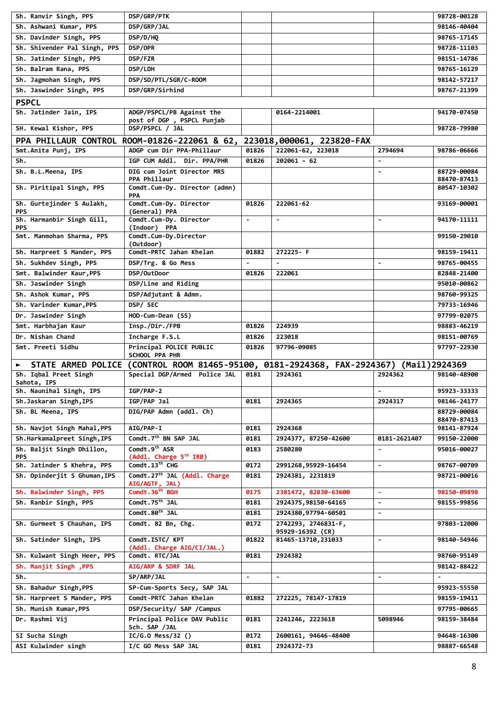| Sh. Ranvir Singh, PPS                   | DSP/GRP/PTK                                                                            |                |                                         |                | 98728-00128                |
|-----------------------------------------|----------------------------------------------------------------------------------------|----------------|-----------------------------------------|----------------|----------------------------|
| Sh. Ashwani Kumar, PPS                  | DSP/GRP/JAL                                                                            |                |                                         |                | 98146-40404                |
| Sh. Davinder Singh, PPS                 | DSP/D/HQ                                                                               |                |                                         |                | 98765-17145                |
| Sh. Shivender Pal Singh, PPS            | DSP/OPR                                                                                |                |                                         |                | 98728-11103                |
| Sh. Jatinder Singh, PPS                 | DSP/FZR                                                                                |                |                                         |                | 98151-14786                |
| Sh. Balram Rana, PPS                    | DSP/LDH                                                                                |                |                                         |                | 98765-16129                |
| Sh. Jagmohan Singh, PPS                 | DSP/SD/PTL/SGR/C-ROOM                                                                  |                |                                         |                | 98142-57217                |
| Sh. Jaswinder Singh, PPS                | DSP/GRP/Sirhind                                                                        |                |                                         |                | 98767-21399                |
| <b>PSPCL</b>                            |                                                                                        |                |                                         |                |                            |
| Sh. Jatinder Jain, IPS                  | ADGP/PSPCL/PB Against the                                                              |                | 0164-2214001                            |                | 94170-07450                |
|                                         | post of DGP, PSPCL Punjab                                                              |                |                                         |                |                            |
| SH. Kewal Kishor, PPS                   | DSP/PSPCL / JAL                                                                        |                |                                         |                | 98728-79980                |
|                                         | PPA PHILLAUR CONTROL ROOM-01826-222061 & 62, 223018,000061, 223820-FAX                 |                |                                         |                |                            |
| Smt.Anita Punj, IPS                     | ADGP cum Dir PPA-Phillaur                                                              | 01826          | 222061-62, 223018                       | 2794694        | 98786-06666                |
| Sh.                                     | IGP CUM Addl. Dir. PPA/PHR                                                             | 01826          | 202061 - 62                             | $\blacksquare$ |                            |
| Sh. B.L.Meena, IPS                      | DIG cum Joint Director MRS                                                             |                |                                         |                | 88729-00084                |
|                                         | PPA Phillaur                                                                           |                |                                         |                | 88470-87413                |
| Sh. Piritipal Singh, PPS                | Comdt.Cum-Dy. Director (admn)<br>PPA                                                   |                |                                         |                | 80547-10302                |
| Sh. Gurtejinder S Aulakh,               | Comdt.Cum-Dy. Director                                                                 | 01826          | 222061-62                               |                | 93169-00001                |
| <b>PPS</b>                              | (General) PPA                                                                          |                |                                         |                |                            |
| Sh. Harmanbir Singh Gill,               | Comdt.Cum-Dy. Director                                                                 | $\blacksquare$ | $\blacksquare$                          | $\blacksquare$ | 94170-11111                |
| <b>PPS</b><br>Smt. Manmohan Sharma, PPS | (Indoor) PPA<br>Comdt.Cum-Dy.Director                                                  |                |                                         |                | 99150-29010                |
|                                         | (Outdoor)                                                                              |                |                                         |                |                            |
| Sh. Harpreet S Mander, PPS              | Comdt-PRTC Jahan Khelan                                                                | 01882          | 272225-F                                |                | 98159-19411                |
| Sh. Sukhdev Singh, PPS                  | DSP/Trg. & Go Mess                                                                     | $\blacksquare$ | $\blacksquare$                          | $\blacksquare$ | 98765-00455                |
| Smt. Balwinder Kaur, PPS                | DSP/OutDoor                                                                            | 01826          | 222061                                  |                | 82848-21400                |
| Sh. Jaswinder Singh                     | DSP/Line and Riding                                                                    |                |                                         |                | 95010-00862                |
| Sh. Ashok Kumar, PPS                    | DSP/Adjutant & Admn.                                                                   |                |                                         |                | 98760-99325                |
| Sh. Varinder Kumar, PPS                 | DSP/ SEC                                                                               |                |                                         |                | 79733-16946                |
| Dr. Jaswinder Singh                     | HOD-Cum-Dean (SS)                                                                      |                |                                         |                | 97799-02075                |
| Smt. Harbhajan Kaur                     | Insp./Dir./FPB                                                                         | 01826          | 224939                                  |                | 98883-46219                |
| Dr. Nishan Chand                        | Incharge F.S.L                                                                         | 01826          | 223018                                  |                | 98151-00769                |
| Smt. Preeti Sidhu                       | Principal POLICE PUBLIC                                                                | 01826          | 97796-09085                             |                | 97797-22930                |
|                                         | SCHOOL PPA PHR                                                                         |                |                                         |                |                            |
|                                         | STATE ARMED POLICE (CONTROL ROOM 81465-95100, 0181-2924368, FAX-2924367) (Mail)2924369 |                |                                         |                |                            |
| Sh. Iqbal Preet Singh                   | Special DGP/Armed Police JAL                                                           | 0181           | 2924361                                 | 2924362        | 98140-48900                |
| Sahota, IPS                             |                                                                                        |                |                                         |                |                            |
| Sh. Naunihal Singh, IPS                 | IGP/PAP-2                                                                              |                |                                         | $\blacksquare$ | 95923-33333                |
| Sh.Jaskaran Singh, IPS                  | IGP/PAP Jal                                                                            | 0181           | 2924365                                 | 2924317        | 98146-24177                |
| Sh. BL Meena, IPS                       | DIG/PAP Admn (addl. Ch)                                                                |                |                                         |                | 88729-00084                |
| Sh. Navjot Singh Mahal, PPS             | <b>AIG/PAP-I</b>                                                                       | 0181           | 2924368                                 |                | 88470-87413<br>98141-87924 |
| Sh.Harkamalpreet Singh, IPS             | Comdt.7 <sup>th</sup> BN SAP JAL                                                       | 0181           | 2924377, 87250-42600                    | 0181-2621407   | 99150-22000                |
| Sh. Baljit Singh Dhillon,               | Comdt.9 <sup>th</sup> ASR                                                              | 0183           | 2580280                                 | $\blacksquare$ | 95016-00027                |
| <b>PPS</b>                              | (Addl. Charge 5 <sup>th</sup> IRB)                                                     |                |                                         |                |                            |
| Sh. Jatinder S Khehra, PPS              | Comdt.13 <sup>th</sup> CHG                                                             | 0172           | 2991268,95929-16454                     | $\blacksquare$ | 98767-00709                |
| Sh. Opinderjit S Ghuman, IPS            | Comdt.27 <sup>th</sup> JAL (Addl. Charge                                               | 0181           | 2924381, 2231819                        |                | 98721-00016                |
|                                         | AIG/AGTF, JAL)                                                                         |                |                                         |                |                            |
| Sh. Balwinder Singh, PPS                | Comdt.36 <sup>th</sup> BGH                                                             | 0175           | 2381472, 82830-63600                    | $\blacksquare$ | 98150-09898                |
| Sh. Ranbir Singh, PPS                   | Comdt.75 <sup>th</sup> JAL                                                             | 0181           | 2924375,98150-64165                     | $\blacksquare$ | 98155-99856                |
|                                         | Comdt.80 <sup>th</sup> JAL                                                             | 0181           | 2924380,97794-60501                     | $\blacksquare$ |                            |
| Sh. Gurmeet S Chauhan, IPS              | Comdt. 82 Bn, Chg.                                                                     | 0172           | 2742293, 2746831-F,                     |                | 97803-12000                |
| Sh. Satinder Singh, IPS                 | Comdt.ISTC/ KPT                                                                        | 01822          | 95929-16392 (CR)<br>81465-13710, 231033 | $\blacksquare$ | 98140-54946                |
|                                         | (Addl. Charge AIG/CI/JAL.)                                                             |                |                                         |                |                            |
| Sh. Kulwant Singh Heer, PPS             | Comdt. RTC/JAL                                                                         | 0181           | 2924382                                 |                | 98760-95149                |
| Sh. Manjit Singh , PPS                  | AIG/ARP & SDRF JAL                                                                     |                |                                         |                | 98142-88422                |
| Sh.                                     | SP/ARP/JAL                                                                             | $\blacksquare$ | $\blacksquare$                          | $\blacksquare$ |                            |
| Sh. Bahadur Singh, PPS                  | SP-Cum-Sports Secy, SAP JAL                                                            |                |                                         |                | 95923-55550                |
| Sh. Harpreet S Mander, PPS              | Comdt-PRTC Jahan Khelan                                                                | 01882          | 272225, 78147-17819                     |                | 98159-19411                |
| Sh. Munish Kumar, PPS                   | DSP/Security/ SAP /Campus                                                              |                |                                         |                | 97795-00665                |
| Dr. Rashmi Vij                          | Principal Police DAV Public                                                            | 0181           | 2241246, 2223618                        | 5098946        | 98159-38484                |
|                                         | Sch. SAP /JAL                                                                          |                |                                         |                |                            |
| SI Sucha Singh                          |                                                                                        |                |                                         |                |                            |
| ASI Kulwinder singh                     | $IC/G.0$ Mess/32 ()<br>I/C GO Mess SAP JAL                                             | 0172<br>0181   | 2600161, 94646-48400<br>2924372-73      |                | 94648-16300<br>98887-66548 |